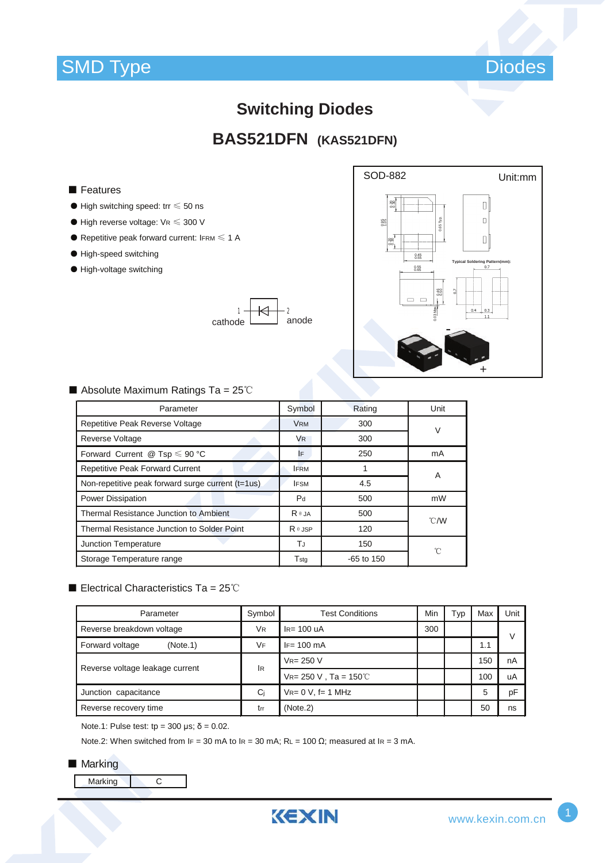

# **Switching Diodes**

# **BAS521DFN (KAS521DFN)**

### ■ Features

- $\bullet$  High switching speed: trr  $\leq 50$  ns
- $\bullet$  High reverse voltage:  $\forall R \leqslant 300 \text{ V}$
- $\bullet$  Repetitive peak forward current: IFRM  $\leq 1$  A
- High-speed switching
- High-voltage switching





### ■ Absolute Maximum Ratings Ta = 25℃

| Parameter                                         | Symbol         | Rating       | Unit           |  |
|---------------------------------------------------|----------------|--------------|----------------|--|
| Repetitive Peak Reverse Voltage                   | <b>VRM</b>     | 300          | V              |  |
| <b>Reverse Voltage</b>                            | V <sub>R</sub> | 300          |                |  |
| Forward Current @ Tsp $\leq 90$ °C                | IF             | 250          | mA             |  |
| <b>Repetitive Peak Forward Current</b>            | <b>FRM</b>     |              | A              |  |
| Non-repetitive peak forward surge current (t=1us) | <b>IFSM</b>    | 4.5          |                |  |
| Power Dissipation                                 | P <sub>d</sub> | 500          | mW             |  |
| Thermal Resistance Junction to Ambient            | $R \theta$ JA  | 500          | $^{\circ}$ C/W |  |
| Thermal Resistance Junction to Solder Point       | $R \theta$ JSP | 120          |                |  |
| Junction Temperature                              | ТJ             | 150          | 'n             |  |
| Storage Temperature range                         | Tstg           | $-65$ to 150 |                |  |

## ■ Electrical Characteristics Ta = 25℃

| Parameter                       | Symbol                               | <b>Test Conditions</b>       | Min | Typ | Max | Unit |
|---------------------------------|--------------------------------------|------------------------------|-----|-----|-----|------|
| Reverse breakdown voltage       | <b>V<sub>R</sub></b><br>$IR= 100$ uA |                              | 300 |     |     | V    |
| Forward voltage<br>(Note.1)     | <b>VF</b>                            | $IF = 100 \text{ mA}$        |     |     | 1.1 |      |
| Reverse voltage leakage current | <b>IR</b>                            | $V_{R} = 250 V$              |     |     | 150 | nA   |
|                                 |                                      | $V_{R} = 250 V$ , Ta = 150°C |     |     | 100 | uA   |
| Junction capacitance            | Ci                                   | $V_{R} = 0 V$ , f= 1 MHz     |     |     | 5   | pF   |
| Reverse recovery time           | trr                                  | (Note.2)                     |     |     | 50  | ns   |

Note.1: Pulse test: tp = 300 μs; δ = 0.02.

Note.2: When switched from IF = 30 mA to IR = 30 mA; RL = 100 Ω; measured at IR = 3 mA.

#### ■ Marking

Marking C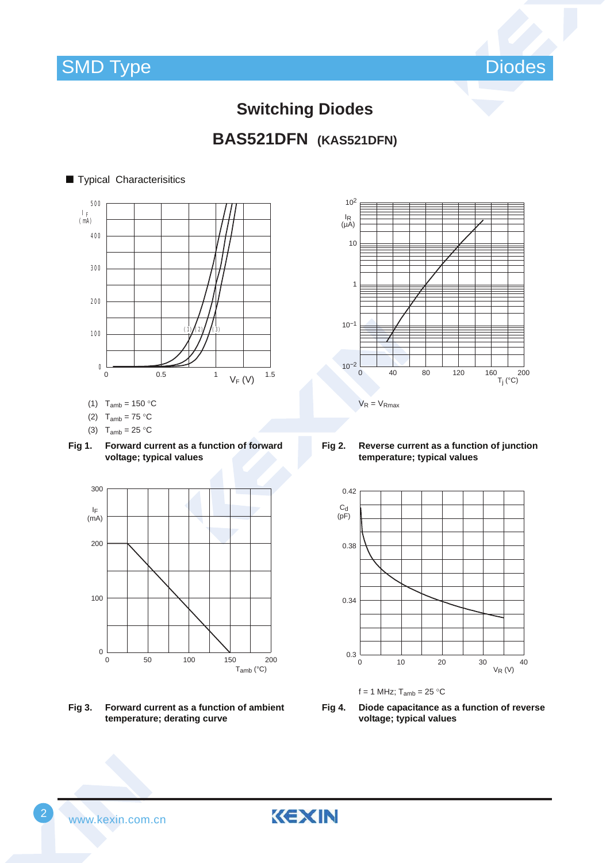



# **Switching Diodes BAS521DFN (KAS521DFN)**

## ■ Typical Characterisitics



- (1)  $T_{amb} = 150 °C$
- (2)  $T_{amb} = 75 °C$
- (3)  $T_{amb} = 25 °C$





**Fig 3. Forward current as a function of ambient temperature; derating curve**



**Fig 2. Reverse current as a function of junction temperature; typical values**





KEXIN

**Fig 4. Diode capacitance as a function of reverse voltage; typical values**